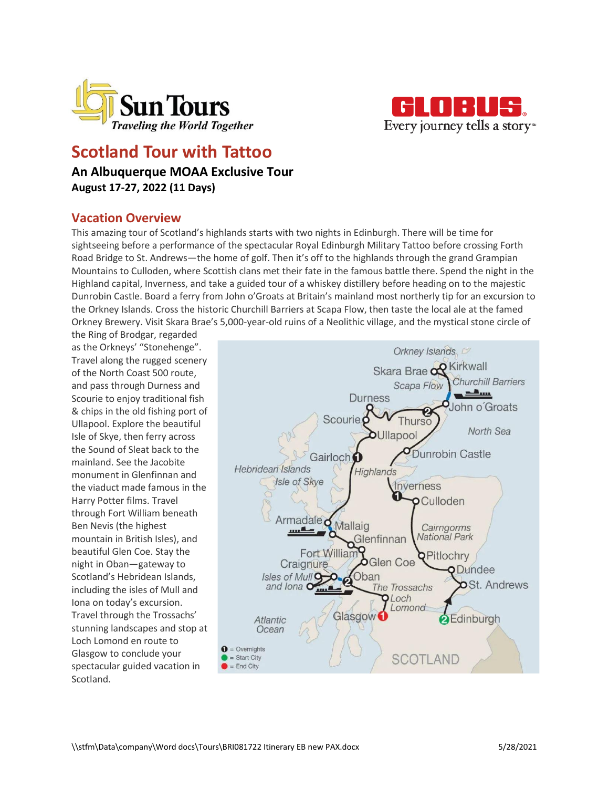



# **Scotland Tour with Tattoo**

## **An Albuquerque MOAA Exclusive Tour August 17-27, 2022 (11 Days)**

# **Vacation Overview**

This amazing tour of Scotland's highlands starts with two nights in Edinburgh. There will be time for sightseeing before a performance of the spectacular Royal Edinburgh Military Tattoo before crossing Forth Road Bridge to St. Andrews—the home of golf. Then it's off to the highlands through the grand Grampian Mountains to Culloden, where Scottish clans met their fate in the famous battle there. Spend the night in the Highland capital, Inverness, and take a guided tour of a whiskey distillery before heading on to the majestic Dunrobin Castle. Board a ferry from John o'Groats at Britain's mainland most northerly tip for an excursion to the Orkney Islands. Cross the historic Churchill Barriers at Scapa Flow, then taste the local ale at the famed Orkney Brewery. Visit Skara Brae's 5,000-year-old ruins of a Neolithic village, and the mystical stone circle of

the Ring of Brodgar, regarded as the Orkneys' "Stonehenge". Travel along the rugged scenery of the North Coast 500 route, and pass through Durness and Scourie to enjoy traditional fish & chips in the old fishing port of Ullapool. Explore the beautiful Isle of Skye, then ferry across the Sound of Sleat back to the mainland. See the Jacobite monument in Glenfinnan and the viaduct made famous in the Harry Potter films. Travel through Fort William beneath Ben Nevis (the highest mountain in British Isles), and beautiful Glen Coe. Stay the night in Oban—gateway to Scotland's Hebridean Islands, including the isles of Mull and Iona on today's excursion. Travel through the Trossachs' stunning landscapes and stop at Loch Lomond en route to Glasgow to conclude your spectacular guided vacation in Scotland.

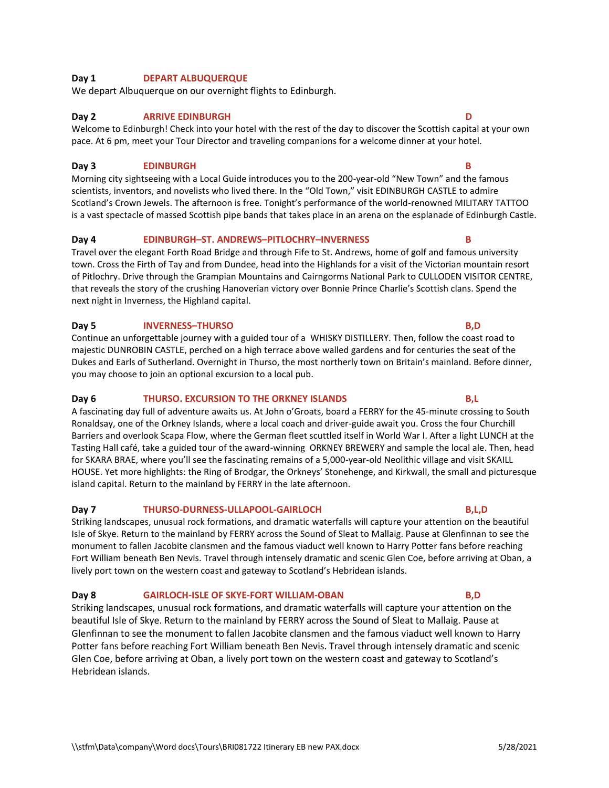### **Day 1 DEPART ALBUQUERQUE**

We depart Albuquerque on our overnight flights to Edinburgh.

#### **Day 2 ARRIVE EDINBURGH D**

#### Welcome to Edinburgh! Check into your hotel with the rest of the day to discover the Scottish capital at your own pace. At 6 pm, meet your Tour Director and traveling companions for a welcome dinner at your hotel.

### **Day 3 EDINBURGH B**

Morning city sightseeing with a Local Guide introduces you to the 200-year-old "New Town" and the famous scientists, inventors, and novelists who lived there. In the "Old Town," visit EDINBURGH CASTLE to admire Scotland's Crown Jewels. The afternoon is free. Tonight's performance of the world-renowned MILITARY TATTOO is a vast spectacle of massed Scottish pipe bands that takes place in an arena on the esplanade of Edinburgh Castle.

### **Day 4 EDINBURGH–ST. ANDREWS–PITLOCHRY–INVERNESS B**

Travel over the elegant Forth Road Bridge and through Fife to St. Andrews, home of golf and famous university town. Cross the Firth of Tay and from Dundee, head into the Highlands for a visit of the Victorian mountain resort of Pitlochry. Drive through the Grampian Mountains and Cairngorms National Park to CULLODEN VISITOR CENTRE, that reveals the story of the crushing Hanoverian victory over Bonnie Prince Charlie's Scottish clans. Spend the next night in Inverness, the Highland capital.

### **Day 5 INVERNESS–THURSO B,D**

Continue an unforgettable journey with a guided tour of a WHISKY DISTILLERY. Then, follow the coast road to majestic DUNROBIN CASTLE, perched on a high terrace above walled gardens and for centuries the seat of the Dukes and Earls of Sutherland. Overnight in Thurso, the most northerly town on Britain's mainland. Before dinner, you may choose to join an optional excursion to a local pub.

### **Day 6 THURSO. EXCURSION TO THE ORKNEY ISLANDS B,L**

A fascinating day full of adventure awaits us. At John o'Groats, board a FERRY for the 45-minute crossing to South Ronaldsay, one of the Orkney Islands, where a local coach and driver-guide await you. Cross the four Churchill Barriers and overlook Scapa Flow, where the German fleet scuttled itself in World War I. After a light LUNCH at the Tasting Hall café, take a guided tour of the award-winning ORKNEY BREWERY and sample the local ale. Then, head for SKARA BRAE, where you'll see the fascinating remains of a 5,000-year-old Neolithic village and visit SKAILL HOUSE. Yet more highlights: the Ring of Brodgar, the Orkneys' Stonehenge, and Kirkwall, the small and picturesque island capital. Return to the mainland by FERRY in the late afternoon.

### **Day 7 THURSO-DURNESS-ULLAPOOL-GAIRLOCH B,L,D**

Striking landscapes, unusual rock formations, and dramatic waterfalls will capture your attention on the beautiful Isle of Skye. Return to the mainland by FERRY across the Sound of Sleat to Mallaig. Pause at Glenfinnan to see the monument to fallen Jacobite clansmen and the famous viaduct well known to Harry Potter fans before reaching Fort William beneath Ben Nevis. Travel through intensely dramatic and scenic Glen Coe, before arriving at Oban, a lively port town on the western coast and gateway to Scotland's Hebridean islands.

### **Day 8 GAIRLOCH-ISLE OF SKYE-FORT WILLIAM-OBAN B,D**

Striking landscapes, unusual rock formations, and dramatic waterfalls will capture your attention on the beautiful Isle of Skye. Return to the mainland by FERRY across the Sound of Sleat to Mallaig. Pause at Glenfinnan to see the monument to fallen Jacobite clansmen and the famous viaduct well known to Harry Potter fans before reaching Fort William beneath Ben Nevis. Travel through intensely dramatic and scenic Glen Coe, before arriving at Oban, a lively port town on the western coast and gateway to Scotland's Hebridean islands.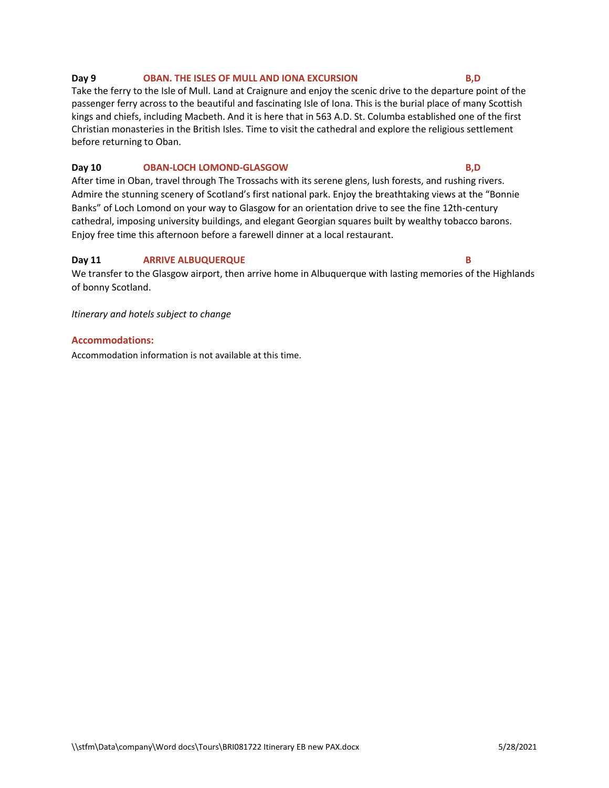#### **Day 9 OBAN. THE ISLES OF MULL AND IONA EXCURSION B,D**

Take the ferry to the Isle of Mull. Land at Craignure and enjoy the scenic drive to the departure point of the passenger ferry across to the beautiful and fascinating Isle of Iona. This is the burial place of many Scottish kings and chiefs, including Macbeth. And it is here that in 563 A.D. St. Columba established one of the first Christian monasteries in the British Isles. Time to visit the cathedral and explore the religious settlement before returning to Oban.

#### **Day 10 OBAN-LOCH LOMOND-GLASGOW B,D**

After time in Oban, travel through The Trossachs with its serene glens, lush forests, and rushing rivers. Admire the stunning scenery of Scotland's first national park. Enjoy the breathtaking views at the "Bonnie Banks" of Loch Lomond on your way to Glasgow for an orientation drive to see the fine 12th-century cathedral, imposing university buildings, and elegant Georgian squares built by wealthy tobacco barons. Enjoy free time this afternoon before a farewell dinner at a local restaurant.

### **Day 11 ARRIVE ALBUQUERQUE B**

We transfer to the Glasgow airport, then arrive home in Albuquerque with lasting memories of the Highlands of bonny Scotland.

*Itinerary and hotels subject to change*

#### **Accommodations:**

Accommodation information is not available at this time.

#### \\stfm\Data\company\Word docs\Tours\BRI081722 Itinerary EB new PAX.docx 5/28/2021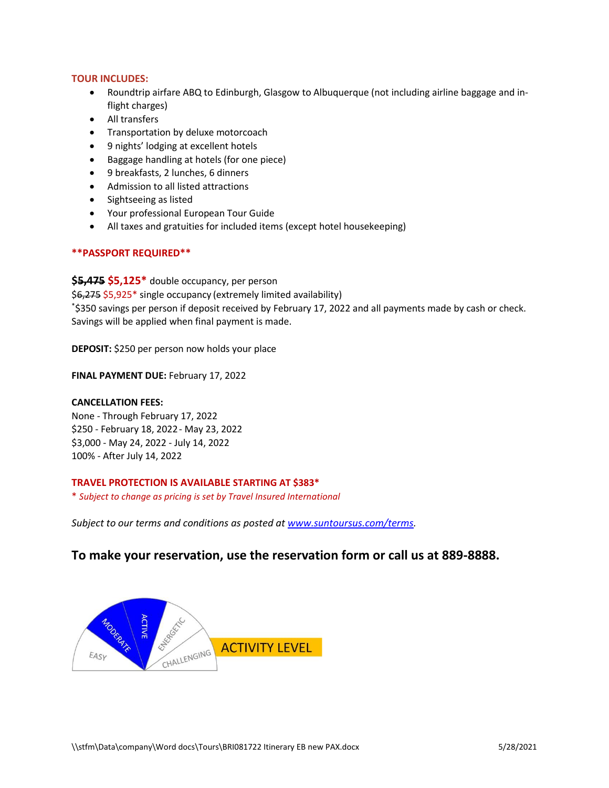### **TOUR INCLUDES:**

- Roundtrip airfare ABQ to Edinburgh, Glasgow to Albuquerque (not including airline baggage and inflight charges)
- All transfers
- Transportation by deluxe motorcoach
- 9 nights' lodging at excellent hotels
- Baggage handling at hotels (for one piece)
- 9 breakfasts, 2 lunches, 6 dinners
- Admission to all listed attractions
- Sightseeing as listed
- Your professional European Tour Guide
- All taxes and gratuities for included items (except hotel housekeeping)

### **\*\*PASSPORT REQUIRED\*\***

**\$5,475 \$5,125\*** double occupancy, per person \$6,275 \$5,925\* single occupancy (extremely limited availability) \*\$350 savings per person if deposit received by February 17, 2022 and all payments made by cash or check. Savings will be applied when final payment is made.

**DEPOSIT:** \$250 per person now holds your place

### **FINAL PAYMENT DUE:** February 17, 2022

### **CANCELLATION FEES:**

None - Through February 17, 2022 \$250 - February 18, 2022- May 23, 2022 \$3,000 - May 24, 2022 - July 14, 2022 100% - After July 14, 2022

### **[TRAVEL PROTECTION IS AVAILABLE](https://www.suntoursus.com/travel-protection) STARTING AT \$383\***

\* *Subject to change as pricing is set by Travel Insured International*

*Subject to our terms and conditions as posted at [www.suntoursus.com/terms.](http://www.suntoursus.com/terms)*

## **To make your reservation, use the reservation form or call us at 889-8888.**